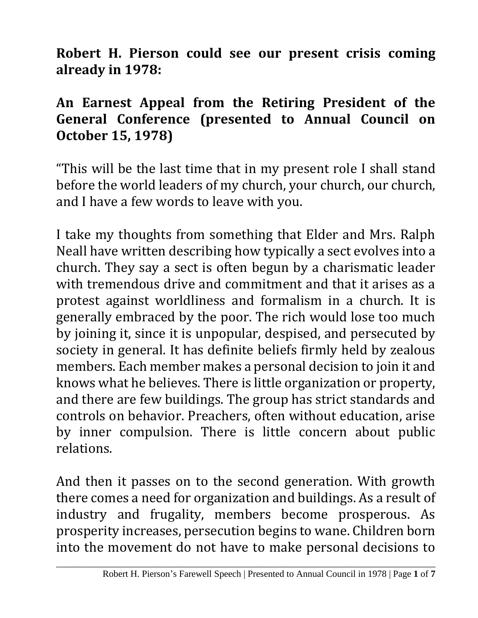**Robert H. Pierson could see our present crisis coming already in 1978:** 

## **An Earnest Appeal from the Retiring President of the General Conference (presented to Annual Council on October 15, 1978)**

"This will be the last time that in my present role I shall stand before the world leaders of my church, your church, our church, and I have a few words to leave with you.

I take my thoughts from something that Elder and Mrs. Ralph Neall have written describing how typically a sect evolves into a church. They say a sect is often begun by a charismatic leader with tremendous drive and commitment and that it arises as a protest against worldliness and formalism in a church. It is generally embraced by the poor. The rich would lose too much by joining it, since it is unpopular, despised, and persecuted by society in general. It has definite beliefs firmly held by zealous members. Each member makes a personal decision to join it and knows what he believes. There is little organization or property, and there are few buildings. The group has strict standards and controls on behavior. Preachers, often without education, arise by inner compulsion. There is little concern about public relations.

And then it passes on to the second generation. With growth there comes a need for organization and buildings. As a result of industry and frugality, members become prosperous. As prosperity increases, persecution begins to wane. Children born into the movement do not have to make personal decisions to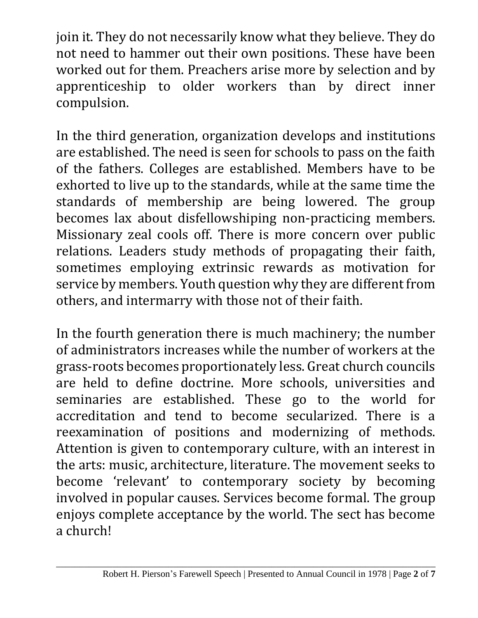join it. They do not necessarily know what they believe. They do not need to hammer out their own positions. These have been worked out for them. Preachers arise more by selection and by apprenticeship to older workers than by direct inner compulsion.

In the third generation, organization develops and institutions are established. The need is seen for schools to pass on the faith of the fathers. Colleges are established. Members have to be exhorted to live up to the standards, while at the same time the standards of membership are being lowered. The group becomes lax about disfellowshiping non-practicing members. Missionary zeal cools off. There is more concern over public relations. Leaders study methods of propagating their faith, sometimes employing extrinsic rewards as motivation for service by members. Youth question why they are different from others, and intermarry with those not of their faith.

In the fourth generation there is much machinery; the number of administrators increases while the number of workers at the grass-roots becomes proportionately less. Great church councils are held to define doctrine. More schools, universities and seminaries are established. These go to the world for accreditation and tend to become secularized. There is a reexamination of positions and modernizing of methods. Attention is given to contemporary culture, with an interest in the arts: music, architecture, literature. The movement seeks to become 'relevant' to contemporary society by becoming involved in popular causes. Services become formal. The group enjoys complete acceptance by the world. The sect has become a church!

\_\_\_\_\_\_\_\_\_\_\_\_\_\_\_\_\_\_\_\_\_\_\_\_\_\_\_\_\_\_\_\_\_\_\_\_\_\_\_\_\_\_\_\_\_\_\_\_\_\_\_\_\_\_\_\_\_\_\_\_\_\_\_\_\_\_\_\_\_\_\_\_\_\_\_\_\_\_\_\_\_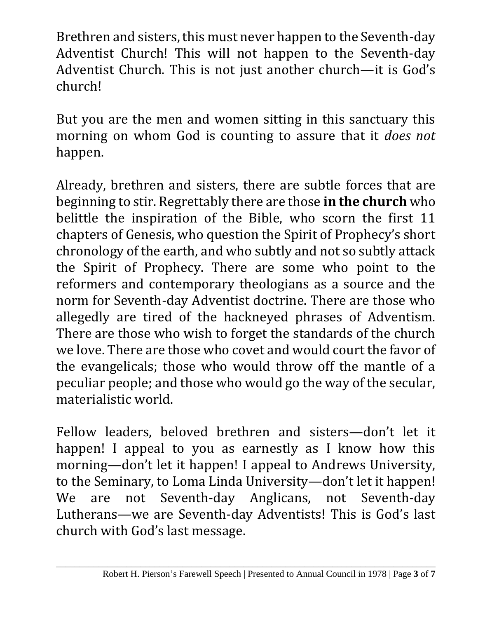Brethren and sisters, this must never happen to the Seventh-day Adventist Church! This will not happen to the Seventh-day Adventist Church. This is not just another church—it is God's church!

But you are the men and women sitting in this sanctuary this morning on whom God is counting to assure that it *does not* happen.

Already, brethren and sisters, there are subtle forces that are beginning to stir. Regrettably there are those **in the church** who belittle the inspiration of the Bible, who scorn the first 11 chapters of Genesis, who question the Spirit of Prophecy's short chronology of the earth, and who subtly and not so subtly attack the Spirit of Prophecy. There are some who point to the reformers and contemporary theologians as a source and the norm for Seventh-day Adventist doctrine. There are those who allegedly are tired of the hackneyed phrases of Adventism. There are those who wish to forget the standards of the church we love. There are those who covet and would court the favor of the evangelicals; those who would throw off the mantle of a peculiar people; and those who would go the way of the secular, materialistic world.

Fellow leaders, beloved brethren and sisters—don't let it happen! I appeal to you as earnestly as I know how this morning—don't let it happen! I appeal to Andrews University, to the Seminary, to Loma Linda University—don't let it happen! We are not Seventh-day Anglicans, not Seventh-day Lutherans—we are Seventh-day Adventists! This is God's last church with God's last message.

\_\_\_\_\_\_\_\_\_\_\_\_\_\_\_\_\_\_\_\_\_\_\_\_\_\_\_\_\_\_\_\_\_\_\_\_\_\_\_\_\_\_\_\_\_\_\_\_\_\_\_\_\_\_\_\_\_\_\_\_\_\_\_\_\_\_\_\_\_\_\_\_\_\_\_\_\_\_\_\_\_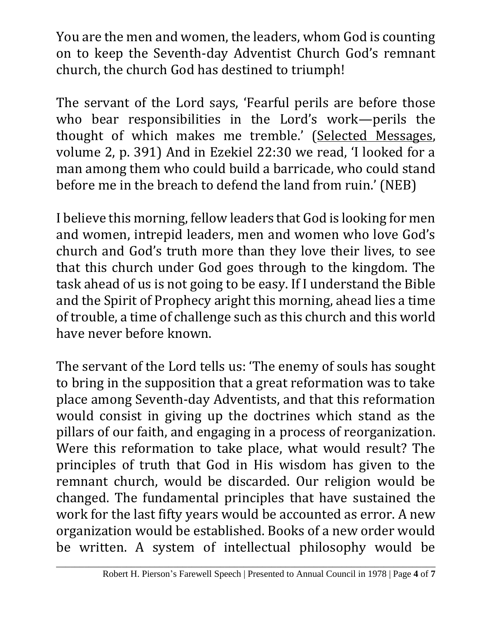You are the men and women, the leaders, whom God is counting on to keep the Seventh-day Adventist Church God's remnant church, the church God has destined to triumph!

The servant of the Lord says, 'Fearful perils are before those who bear responsibilities in the Lord's work—perils the thought of which makes me tremble.' (Selected Messages, volume 2, p. 391) And in Ezekiel 22:30 we read, 'I looked for a man among them who could build a barricade, who could stand before me in the breach to defend the land from ruin.' (NEB)

I believe this morning, fellow leaders that God is looking for men and women, intrepid leaders, men and women who love God's church and God's truth more than they love their lives, to see that this church under God goes through to the kingdom. The task ahead of us is not going to be easy. If I understand the Bible and the Spirit of Prophecy aright this morning, ahead lies a time of trouble, a time of challenge such as this church and this world have never before known.

The servant of the Lord tells us: 'The enemy of souls has sought to bring in the supposition that a great reformation was to take place among Seventh-day Adventists, and that this reformation would consist in giving up the doctrines which stand as the pillars of our faith, and engaging in a process of reorganization. Were this reformation to take place, what would result? The principles of truth that God in His wisdom has given to the remnant church, would be discarded. Our religion would be changed. The fundamental principles that have sustained the work for the last fifty years would be accounted as error. A new organization would be established. Books of a new order would be written. A system of intellectual philosophy would be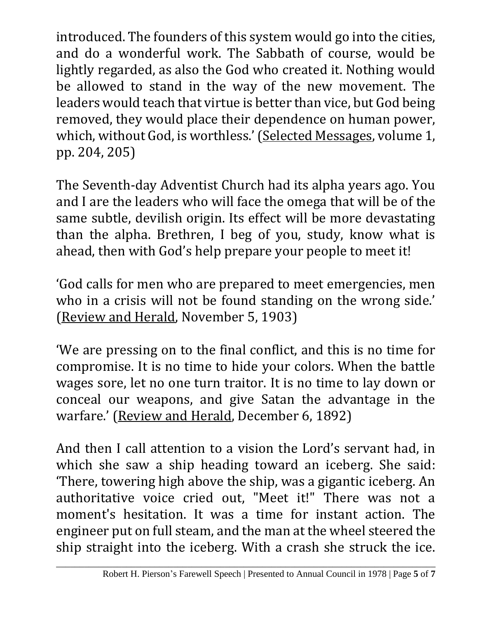introduced. The founders of this system would go into the cities, and do a wonderful work. The Sabbath of course, would be lightly regarded, as also the God who created it. Nothing would be allowed to stand in the way of the new movement. The leaders would teach that virtue is better than vice, but God being removed, they would place their dependence on human power, which, without God, is worthless.' (Selected Messages, volume 1, pp. 204, 205)

The Seventh-day Adventist Church had its alpha years ago. You and I are the leaders who will face the omega that will be of the same subtle, devilish origin. Its effect will be more devastating than the alpha. Brethren, I beg of you, study, know what is ahead, then with God's help prepare your people to meet it!

'God calls for men who are prepared to meet emergencies, men who in a crisis will not be found standing on the wrong side.' (Review and Herald, November 5, 1903)

'We are pressing on to the final conflict, and this is no time for compromise. It is no time to hide your colors. When the battle wages sore, let no one turn traitor. It is no time to lay down or conceal our weapons, and give Satan the advantage in the warfare.' (Review and Herald, December 6, 1892)

And then I call attention to a vision the Lord's servant had, in which she saw a ship heading toward an iceberg. She said: 'There, towering high above the ship, was a gigantic iceberg. An authoritative voice cried out, "Meet it!" There was not a moment's hesitation. It was a time for instant action. The engineer put on full steam, and the man at the wheel steered the ship straight into the iceberg. With a crash she struck the ice.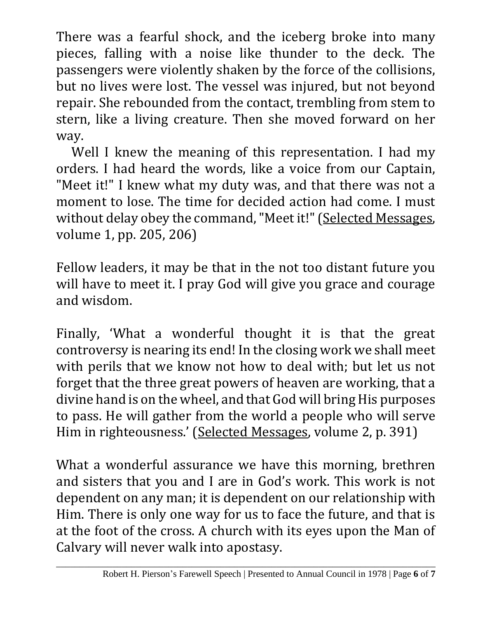There was a fearful shock, and the iceberg broke into many pieces, falling with a noise like thunder to the deck. The passengers were violently shaken by the force of the collisions, but no lives were lost. The vessel was injured, but not beyond repair. She rebounded from the contact, trembling from stem to stern, like a living creature. Then she moved forward on her way.

Well I knew the meaning of this representation. I had my orders. I had heard the words, like a voice from our Captain, "Meet it!" I knew what my duty was, and that there was not a moment to lose. The time for decided action had come. I must without delay obey the command, "Meet it!" (Selected Messages, volume 1, pp. 205, 206)

Fellow leaders, it may be that in the not too distant future you will have to meet it. I pray God will give you grace and courage and wisdom.

Finally, 'What a wonderful thought it is that the great controversy is nearing its end! In the closing work we shall meet with perils that we know not how to deal with; but let us not forget that the three great powers of heaven are working, that a divine hand is on the wheel, and that God will bring His purposes to pass. He will gather from the world a people who will serve Him in righteousness.' (Selected Messages, volume 2, p. 391)

What a wonderful assurance we have this morning, brethren and sisters that you and I are in God's work. This work is not dependent on any man; it is dependent on our relationship with Him. There is only one way for us to face the future, and that is at the foot of the cross. A church with its eyes upon the Man of Calvary will never walk into apostasy.